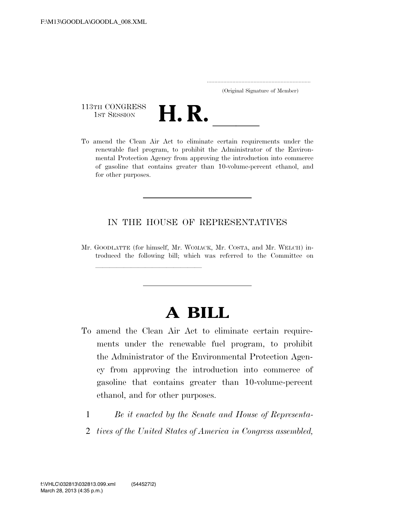..................................................................... (Original Signature of Member)

113TH CONGRESS<br>1st Session



113TH CONGRESS<br>1st SESSION<br>To amend the Clean Air Act to eliminate certain requirements under the renewable fuel program, to prohibit the Administrator of the Environmental Protection Agency from approving the introduction into commerce of gasoline that contains greater than 10-volume-percent ethanol, and for other purposes.

# IN THE HOUSE OF REPRESENTATIVES

Mr. GOODLATTE (for himself, Mr. WOMACK, Mr. COSTA, and Mr. WELCH) introduced the following bill; which was referred to the Committee on

llland and a state of the state of the state of the state of the state of the state of the state of the state o

# **A BILL**

- To amend the Clean Air Act to eliminate certain requirements under the renewable fuel program, to prohibit the Administrator of the Environmental Protection Agency from approving the introduction into commerce of gasoline that contains greater than 10-volume-percent ethanol, and for other purposes.
	- 1 *Be it enacted by the Senate and House of Representa-*
	- 2 *tives of the United States of America in Congress assembled,*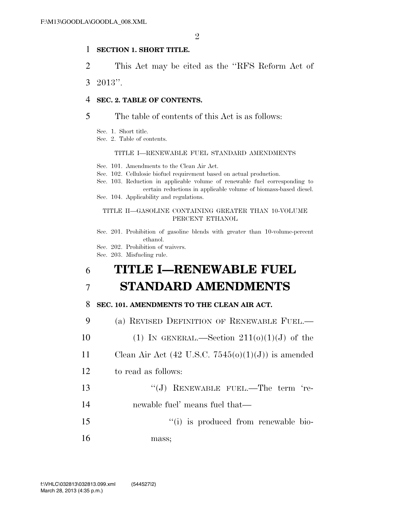## 1 **SECTION 1. SHORT TITLE.**

2 This Act may be cited as the ''RFS Reform Act of

3 2013''.

## 4 **SEC. 2. TABLE OF CONTENTS.**

### 5 The table of contents of this Act is as follows:

- Sec. 1. Short title.
- Sec. 2. Table of contents.

### TITLE I—RENEWABLE FUEL STANDARD AMENDMENTS

- Sec. 101. Amendments to the Clean Air Act.
- Sec. 102. Cellulosic biofuel requirement based on actual production.

Sec. 103. Reduction in applicable volume of renewable fuel corresponding to certain reductions in applicable volume of biomass-based diesel.

Sec. 104. Applicability and regulations.

#### TITLE II—GASOLINE CONTAINING GREATER THAN 10-VOLUME PERCENT ETHANOL

Sec. 201. Prohibition of gasoline blends with greater than 10-volume-percent ethanol.

- Sec. 202. Prohibition of waivers.
- Sec. 203. Misfueling rule.

# 6 **TITLE I—RENEWABLE FUEL**  7 **STANDARD AMENDMENTS**

### 8 **SEC. 101. AMENDMENTS TO THE CLEAN AIR ACT.**

9 (a) REVISED DEFINITION OF RENEWABLE FUEL.—

- 10 (1) IN GENERAL.—Section  $211(0)(1)(J)$  of the
- 11 Clean Air Act  $(42 \text{ U.S.C. } 7545(0)(1)(\text{J}))$  is amended

### 12 to read as follows:

- 13 "(J) RENEWABLE FUEL.—The term 're-
- 14 newable fuel' means fuel that—
- 15  $\frac{1}{10}$  is produced from renewable bio-16 mass;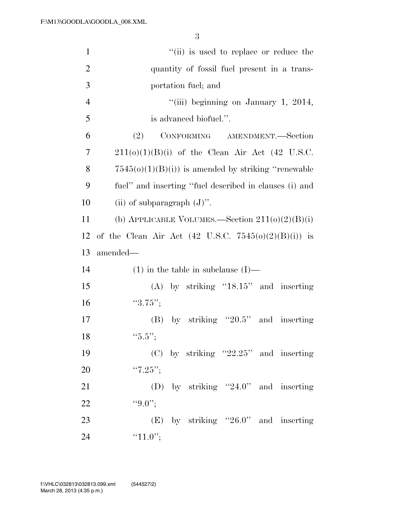| $\mathbf{1}$   | "(ii) is used to replace or reduce the                          |
|----------------|-----------------------------------------------------------------|
| $\overline{2}$ | quantity of fossil fuel present in a trans-                     |
| 3              | portation fuel; and                                             |
| $\overline{4}$ | "(iii) beginning on January 1, 2014,                            |
| 5              | is advanced biofuel.".                                          |
| 6              | CONFORMING AMENDMENT.-Section<br>(2)                            |
| 7              | $211(0)(1)(B)(i)$ of the Clean Air Act (42 U.S.C.               |
| 8              | $7545(o)(1)(B(i))$ is amended by striking "renewable"           |
| 9              | fuel" and inserting "fuel described in clauses (i) and          |
| 10             | (ii) of subparagraph $(J)$ ".                                   |
| 11             | (b) APPLICABLE VOLUMES.—Section $211(0)(2)(B)(i)$               |
| 12             | of the Clean Air Act $(42 \text{ U.S.C. } 7545(0)(2)(B)(i))$ is |
| 13             | amended—                                                        |
| 14             | $(1)$ in the table in subclause $(I)$ —                         |
|                |                                                                 |
| 15             | $(A)$ by striking "18.15" and inserting                         |
| 16             | "3.75";                                                         |
| 17             | by striking " $20.5$ " and inserting<br>(B)                     |
| 18             | "5.5";                                                          |
| 19             | $(C)$ by striking "22.25" and inserting                         |
| 20             | " $7.25$ ";                                                     |
| 21             | (D) by striking "24.0" and inserting                            |
| 22             | $``9.0"$ ;                                                      |
| 23             | $(E)$ by striking "26.0" and inserting                          |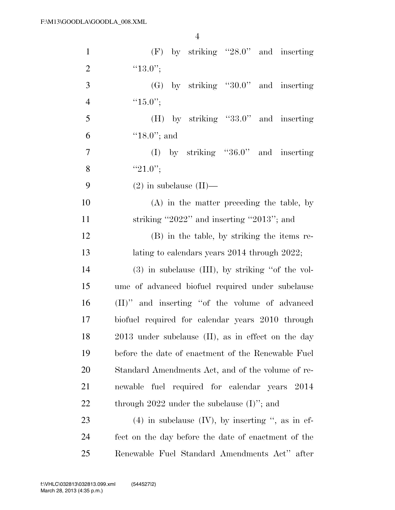| $\mathbf{1}$   | $(F)$ by striking "28.0" and inserting                |
|----------------|-------------------------------------------------------|
| $\overline{2}$ | " $13.0$ ";                                           |
| 3              | $(G)$ by striking "30.0" and inserting                |
| $\overline{4}$ | " $15.0$ ";                                           |
| 5              | $(H)$ by striking "33.0" and inserting                |
| 6              | $"18.0"$ ; and                                        |
| $\overline{7}$ | (I) by striking " $36.0$ " and inserting              |
| 8              | " $21.0$ ";                                           |
| 9              | $(2)$ in subclause $(II)$ —                           |
| 10             | $(A)$ in the matter preceding the table, by           |
| 11             | striking "2022" and inserting "2013"; and             |
| 12             | (B) in the table, by striking the items re-           |
| 13             | lating to calendars years 2014 through 2022;          |
| 14             | $(3)$ in subclause (III), by striking "of the vol-    |
| 15             | ume of advanced biofuel required under subclause      |
| 16             | (II)" and inserting "of the volume of advanced        |
| 17             | biofuel required for calendar years 2010 through      |
| 18             | 2013 under subclause (II), as in effect on the day    |
| 19             | before the date of enactment of the Renewable Fuel    |
| 20             | Standard Amendments Act, and of the volume of re-     |
| 21             | newable fuel required for calendar years 2014         |
| 22             | through $2022$ under the subclause $(I)$ "; and       |
| 23             | $(4)$ in subclause $(IV)$ , by inserting ", as in ef- |
| 24             | fect on the day before the date of enactment of the   |
| 25             | Renewable Fuel Standard Amendments Act" after         |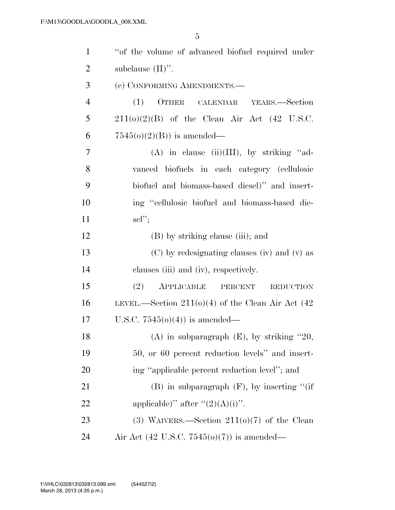| $\mathbf{1}$   | "of the volume of advanced biofuel required under    |
|----------------|------------------------------------------------------|
| $\overline{2}$ | subclause $(II)$ ".                                  |
| 3              | (c) CONFORMING AMENDMENTS.-                          |
| $\overline{4}$ | OTHER CALENDAR YEARS.-Section<br>(1)                 |
| 5              | $211(0)(2)(B)$ of the Clean Air Act (42 U.S.C.       |
| 6              | $7545(o)(2)(B)$ is amended—                          |
| 7              | $(A)$ in clause (ii)(III), by striking "ad-          |
| 8              | vanced biofuels in each category (cellulosic         |
| 9              | biofuel and biomass-based diesel)" and insert-       |
| 10             | ing "cellulosic biofuel and biomass-based die-       |
| 11             | $\text{sel}''$                                       |
| 12             | (B) by striking clause (iii); and                    |
| 13             | (C) by redesignating clauses (iv) and (v) as         |
| 14             | clauses (iii) and (iv), respectively.                |
| 15             | (2)<br>APPLICABLE<br>PERCENT<br><b>REDUCTION</b>     |
| 16             | LEVEL.—Section $211(0)(4)$ of the Clean Air Act (42) |
| 17             | U.S.C. $7545(0)(4)$ is amended—                      |
| 18             | (A) in subparagraph $(E)$ , by striking "20,         |
| 19             | 50, or 60 percent reduction levels" and insert-      |
| 20             | ing "applicable percent reduction level"; and        |
| 21             | $(B)$ in subparagraph $(F)$ , by inserting "(if      |
| 22             | applicable)" after " $(2)(A)(i)$ ".                  |
| 23             | (3) WAIVERS.—Section $211(0)(7)$ of the Clean        |
| 24             | Air Act (42 U.S.C. 7545( $o$ )(7)) is amended—       |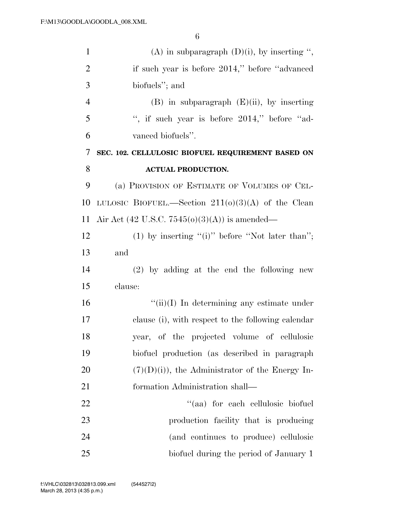| $\mathbf{1}$   | (A) in subparagraph $(D)(i)$ , by inserting ",       |
|----------------|------------------------------------------------------|
| $\overline{2}$ | if such year is before 2014," before "advanced"      |
| 3              | biofuels"; and                                       |
| $\overline{4}$ | $(B)$ in subparagraph $(E)(ii)$ , by inserting       |
| 5              | ", if such year is before $2014$ ," before "ad-      |
| 6              | vanced biofuels".                                    |
| 7              | SEC. 102. CELLULOSIC BIOFUEL REQUIREMENT BASED ON    |
| 8              | <b>ACTUAL PRODUCTION.</b>                            |
| 9              | (a) PROVISION OF ESTIMATE OF VOLUMES OF CEL-         |
| 10             | LULOSIC BIOFUEL.—Section $211(0)(3)(A)$ of the Clean |
| 11             | Air Act (42 U.S.C. 7545( $o(3)(A)$ ) is amended—     |
| 12             | (1) by inserting "(i)" before "Not later than";      |
| 13             | and                                                  |
| 14             | $(2)$ by adding at the end the following new         |
| 15             | clause:                                              |
| 16             | $``(ii)(I)$ In determining any estimate under        |
| 17             | clause (i), with respect to the following calendar   |
| 18             | year, of the projected volume of cellulosic          |
| 19             | biofuel production (as described in paragraph        |
| 20             | $(7)(D)(i)$ , the Administrator of the Energy In-    |
| 21             | formation Administration shall—                      |
| 22             | "(aa) for each cellulosic biofuel                    |
| 23             | production facility that is producing                |
| 24             | (and continues to produce) cellulosic                |
| 25             | biofuel during the period of January 1               |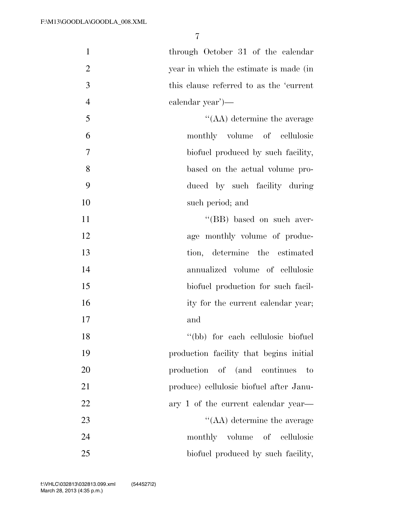1 through October 31 of the calendar year in which the estimate is made (in this clause referred to as the 'current calendar year')— ''(AA) determine the average monthly volume of cellulosic biofuel produced by such facility, based on the actual volume pro-duced by such facility during

11 ''(BB) based on such aver-12 age monthly volume of produc-13 tion, determine the estimated 14 annualized volume of cellulosic 15 biofuel production for such facil-16 ity for the current calendar year; 17 and 18 ''(bb) for each cellulosic biofuel

10 such period; and

19 production facility that begins initial 20 production of (and continues to 21 produce) cellulosic biofuel after Janu-22 ary 1 of the current calendar year— 23 ''(AA) determine the average 24 monthly volume of cellulosic 25 biofuel produced by such facility,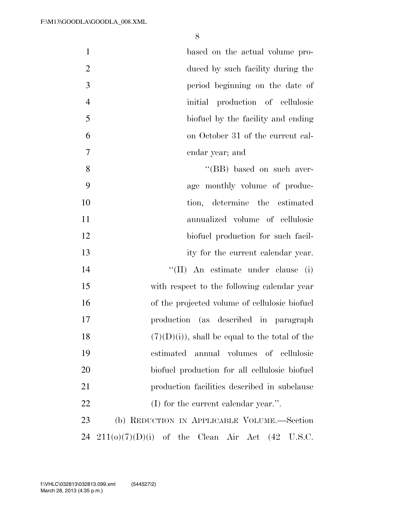| $\mathbf{1}$   | based on the actual volume pro-                  |
|----------------|--------------------------------------------------|
| $\overline{2}$ | duced by such facility during the                |
| 3              | period beginning on the date of                  |
| $\overline{4}$ | initial production of cellulosic                 |
| 5              | biofuel by the facility and ending               |
| 6              | on October 31 of the current cal-                |
| 7              | endar year; and                                  |
| 8              | "(BB) based on such aver-                        |
| 9              | age monthly volume of produc-                    |
| 10             | tion, determine the estimated                    |
| 11             | annualized volume of cellulosic                  |
| 12             | biofuel production for such facil-               |
| 13             | ity for the current calendar year.               |
| 14             | "(II) An estimate under clause (i)               |
| 15             | with respect to the following calendar year      |
| 16             | of the projected volume of cellulosic biofuel    |
| 17             | production (as described in paragraph            |
| 18             | $(7)(D)(i)$ , shall be equal to the total of the |
| 19             | estimated<br>annual volumes of cellulosic        |
| 20             | biofuel production for all cellulosic biofuel    |
| 21             | production facilities described in subclause     |
| 22             | $(I)$ for the current calendar year.".           |
| 23             | (b) REDUCTION IN APPLICABLE VOLUME.—Section      |

211(o)(7)(D)(i) of the Clean Air Act (42 U.S.C.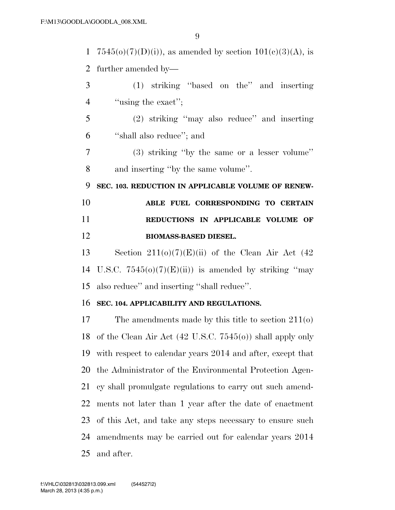1 7545(o)(7)(D)(i)), as amended by section  $101(e)(3)(A)$ , is further amended by— (1) striking ''based on the'' and inserting 4 ''using the exact'': (2) striking ''may also reduce'' and inserting ''shall also reduce''; and (3) striking ''by the same or a lesser volume'' and inserting ''by the same volume''. **SEC. 103. REDUCTION IN APPLICABLE VOLUME OF RENEW- ABLE FUEL CORRESPONDING TO CERTAIN REDUCTIONS IN APPLICABLE VOLUME OF BIOMASS-BASED DIESEL.**  13 Section  $211(0)(7)(E)(ii)$  of the Clean Air Act (42) 14 U.S.C.  $7545(0)(7)(E)(ii)$  is amended by striking "may" also reduce'' and inserting ''shall reduce''. **SEC. 104. APPLICABILITY AND REGULATIONS.**  The amendments made by this title to section 211(o) of the Clean Air Act (42 U.S.C. 7545(o)) shall apply only with respect to calendar years 2014 and after, except that the Administrator of the Environmental Protection Agen- cy shall promulgate regulations to carry out such amend-ments not later than 1 year after the date of enactment

 of this Act, and take any steps necessary to ensure such amendments may be carried out for calendar years 2014 and after.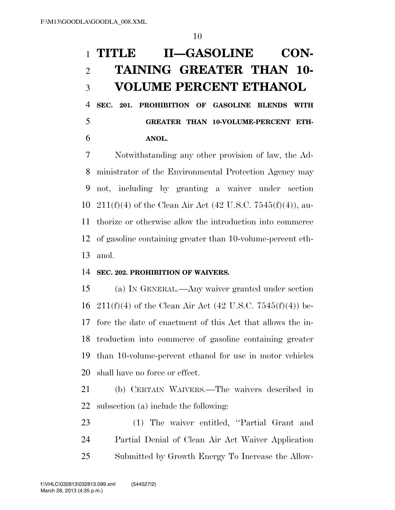# **TITLE II—GASOLINE CON- TAINING GREATER THAN 10- VOLUME PERCENT ETHANOL**

 **SEC. 201. PROHIBITION OF GASOLINE BLENDS WITH GREATER THAN 10-VOLUME-PERCENT ETH-ANOL.** 

 Notwithstanding any other provision of law, the Ad- ministrator of the Environmental Protection Agency may not, including by granting a waiver under section 10 211(f)(4) of the Clean Air Act (42 U.S.C. 7545(f)(4)), au- thorize or otherwise allow the introduction into commerce of gasoline containing greater than 10-volume-percent eth-anol.

# **SEC. 202. PROHIBITION OF WAIVERS.**

 (a) IN GENERAL.—Any waiver granted under section 16 211(f)(4) of the Clean Air Act (42 U.S.C. 7545(f)(4)) be- fore the date of enactment of this Act that allows the in- troduction into commerce of gasoline containing greater than 10-volume-percent ethanol for use in motor vehicles shall have no force or effect.

 (b) CERTAIN WAIVERS.—The waivers described in subsection (a) include the following:

 (1) The waiver entitled, ''Partial Grant and Partial Denial of Clean Air Act Waiver Application Submitted by Growth Energy To Increase the Allow-